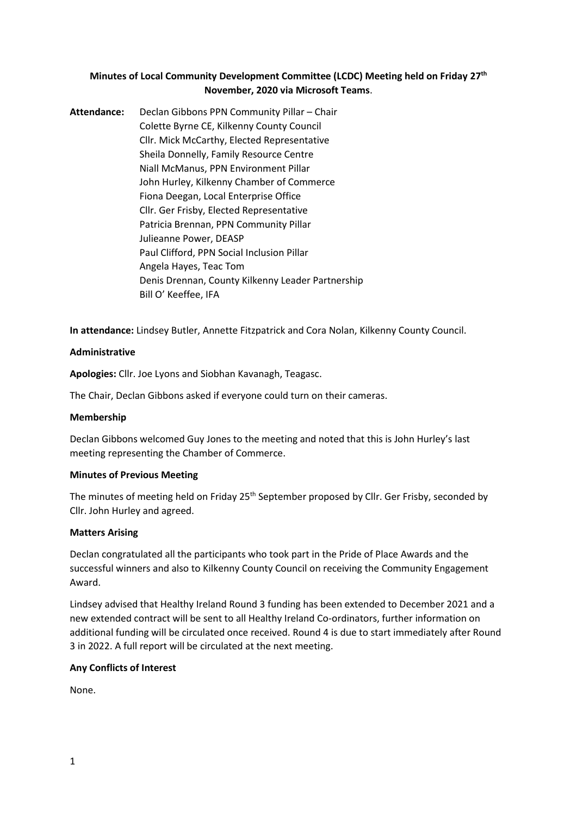# **Minutes of Local Community Development Committee (LCDC) Meeting held on Friday 27th November, 2020 via Microsoft Teams**.

**Attendance:** Declan Gibbons PPN Community Pillar – Chair Colette Byrne CE, Kilkenny County Council Cllr. Mick McCarthy, Elected Representative Sheila Donnelly, Family Resource Centre Niall McManus, PPN Environment Pillar John Hurley, Kilkenny Chamber of Commerce Fiona Deegan, Local Enterprise Office Cllr. Ger Frisby, Elected Representative Patricia Brennan, PPN Community Pillar Julieanne Power, DEASP Paul Clifford, PPN Social Inclusion Pillar Angela Hayes, Teac Tom Denis Drennan, County Kilkenny Leader Partnership Bill O' Keeffee, IFA

**In attendance:** Lindsey Butler, Annette Fitzpatrick and Cora Nolan, Kilkenny County Council.

# **Administrative**

**Apologies:** Cllr. Joe Lyons and Siobhan Kavanagh, Teagasc.

The Chair, Declan Gibbons asked if everyone could turn on their cameras.

#### **Membership**

Declan Gibbons welcomed Guy Jones to the meeting and noted that this is John Hurley's last meeting representing the Chamber of Commerce.

#### **Minutes of Previous Meeting**

The minutes of meeting held on Friday 25<sup>th</sup> September proposed by Cllr. Ger Frisby, seconded by Cllr. John Hurley and agreed.

#### **Matters Arising**

Declan congratulated all the participants who took part in the Pride of Place Awards and the successful winners and also to Kilkenny County Council on receiving the Community Engagement Award.

Lindsey advised that Healthy Ireland Round 3 funding has been extended to December 2021 and a new extended contract will be sent to all Healthy Ireland Co-ordinators, further information on additional funding will be circulated once received. Round 4 is due to start immediately after Round 3 in 2022. A full report will be circulated at the next meeting.

# **Any Conflicts of Interest**

None.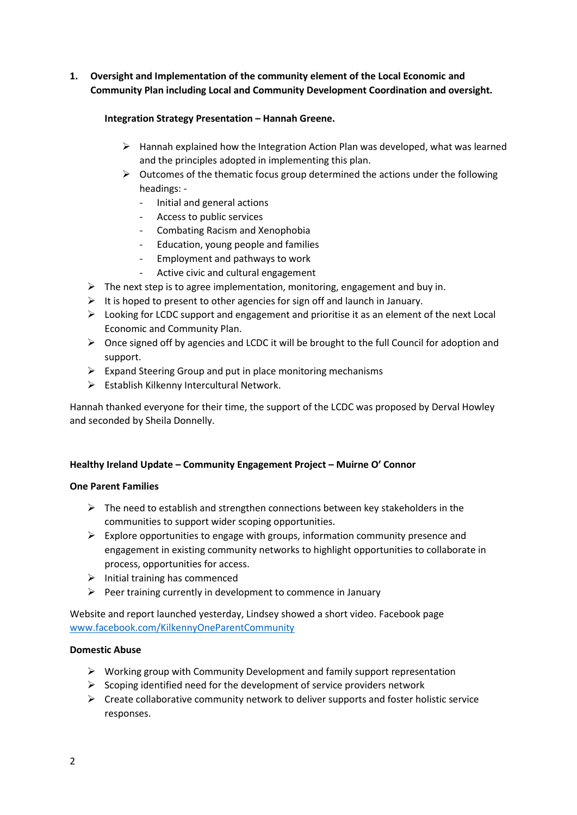**1. Oversight and Implementation of the community element of the Local Economic and Community Plan including Local and Community Development Coordination and oversight.** 

### **Integration Strategy Presentation – Hannah Greene.**

- $\triangleright$  Hannah explained how the Integration Action Plan was developed, what was learned and the principles adopted in implementing this plan.
- $\triangleright$  Outcomes of the thematic focus group determined the actions under the following headings: -
	- Initial and general actions
	- Access to public services
	- Combating Racism and Xenophobia
	- Education, young people and families
	- Employment and pathways to work
	- Active civic and cultural engagement
- $\triangleright$  The next step is to agree implementation, monitoring, engagement and buy in.
- $\triangleright$  It is hoped to present to other agencies for sign off and launch in January.
- $\triangleright$  Looking for LCDC support and engagement and prioritise it as an element of the next Local Economic and Community Plan.
- $\triangleright$  Once signed off by agencies and LCDC it will be brought to the full Council for adoption and support.
- $\triangleright$  Expand Steering Group and put in place monitoring mechanisms
- $\triangleright$  Establish Kilkenny Intercultural Network.

Hannah thanked everyone for their time, the support of the LCDC was proposed by Derval Howley and seconded by Sheila Donnelly.

# **Healthy Ireland Update – Community Engagement Project – Muirne O' Connor**

# **One Parent Families**

- $\triangleright$  The need to establish and strengthen connections between key stakeholders in the communities to support wider scoping opportunities.
- $\triangleright$  Explore opportunities to engage with groups, information community presence and engagement in existing community networks to highlight opportunities to collaborate in process, opportunities for access.
- $\triangleright$  Initial training has commenced
- $\triangleright$  Peer training currently in development to commence in January

Website and report launched yesterday, Lindsey showed a short video. Facebook page [www.facebook.com/KilkennyOneParentCommunity](http://www.facebook.com/KilkennyOneParentCommunity)

# **Domestic Abuse**

- $\triangleright$  Working group with Community Development and family support representation
- $\triangleright$  Scoping identified need for the development of service providers network
- $\triangleright$  Create collaborative community network to deliver supports and foster holistic service responses.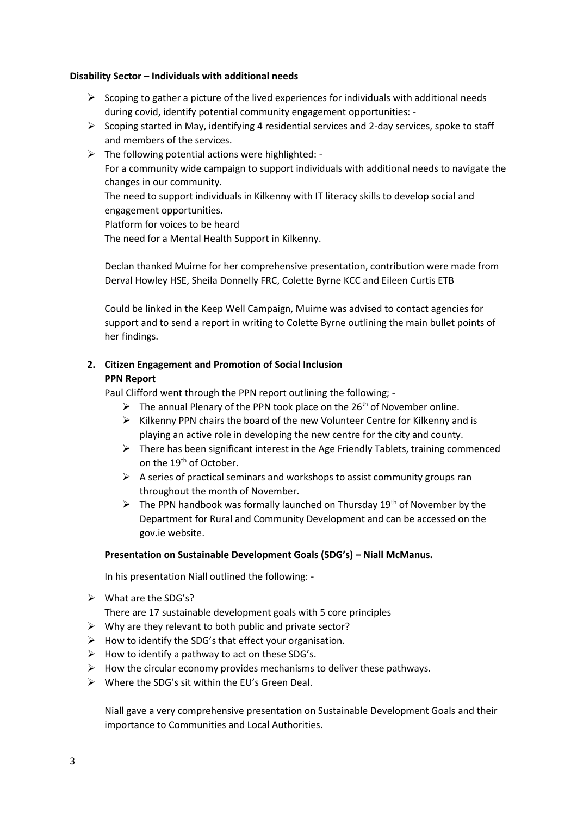#### **Disability Sector – Individuals with additional needs**

- $\triangleright$  Scoping to gather a picture of the lived experiences for individuals with additional needs during covid, identify potential community engagement opportunities: -
- $\triangleright$  Scoping started in May, identifying 4 residential services and 2-day services, spoke to staff and members of the services.
- $\triangleright$  The following potential actions were highlighted: -For a community wide campaign to support individuals with additional needs to navigate the changes in our community. The need to support individuals in Kilkenny with IT literacy skills to develop social and

engagement opportunities.

Platform for voices to be heard

The need for a Mental Health Support in Kilkenny.

Declan thanked Muirne for her comprehensive presentation, contribution were made from Derval Howley HSE, Sheila Donnelly FRC, Colette Byrne KCC and Eileen Curtis ETB

Could be linked in the Keep Well Campaign, Muirne was advised to contact agencies for support and to send a report in writing to Colette Byrne outlining the main bullet points of her findings.

# **2. Citizen Engagement and Promotion of Social Inclusion PPN Report**

Paul Clifford went through the PPN report outlining the following; -

- $\triangleright$  The annual Plenary of the PPN took place on the 26<sup>th</sup> of November online.
- $\triangleright$  Kilkenny PPN chairs the board of the new Volunteer Centre for Kilkenny and is playing an active role in developing the new centre for the city and county.
- $\triangleright$  There has been significant interest in the Age Friendly Tablets, training commenced on the 19<sup>th</sup> of October.
- $\triangleright$  A series of practical seminars and workshops to assist community groups ran throughout the month of November.
- $\triangleright$  The PPN handbook was formally launched on Thursday 19<sup>th</sup> of November by the Department for Rural and Community Development and can be accessed on the gov.ie website.

#### **Presentation on Sustainable Development Goals (SDG's) – Niall McManus.**

In his presentation Niall outlined the following: -

➢ What are the SDG's?

There are 17 sustainable development goals with 5 core principles

- ➢ Why are they relevant to both public and private sector?
- ➢ How to identify the SDG's that effect your organisation.
- $\triangleright$  How to identify a pathway to act on these SDG's.
- $\triangleright$  How the circular economy provides mechanisms to deliver these pathways.
- ➢ Where the SDG's sit within the EU's Green Deal.

Niall gave a very comprehensive presentation on Sustainable Development Goals and their importance to Communities and Local Authorities.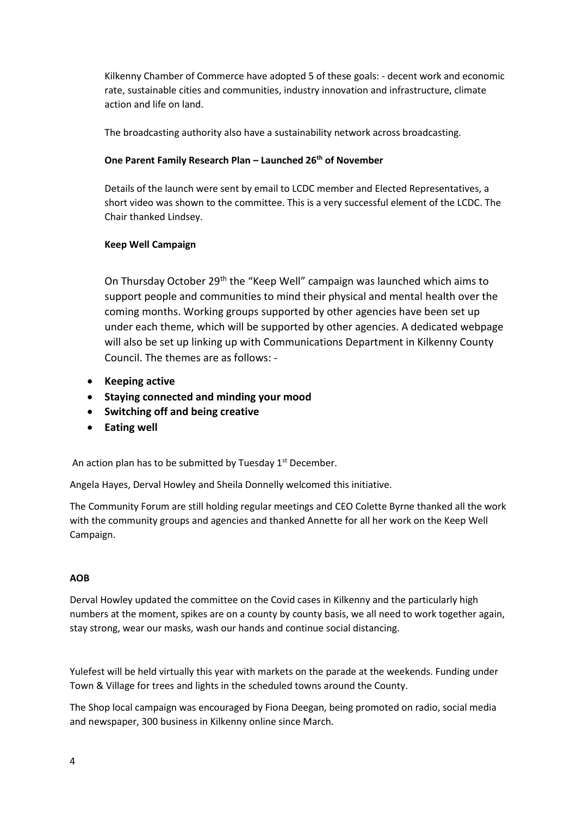Kilkenny Chamber of Commerce have adopted 5 of these goals: - decent work and economic rate, sustainable cities and communities, industry innovation and infrastructure, climate action and life on land.

The broadcasting authority also have a sustainability network across broadcasting.

### **One Parent Family Research Plan – Launched 26th of November**

Details of the launch were sent by email to LCDC member and Elected Representatives, a short video was shown to the committee. This is a very successful element of the LCDC. The Chair thanked Lindsey.

### **Keep Well Campaign**

On Thursday October 29th the "Keep Well" campaign was launched which aims to support people and communities to mind their physical and mental health over the coming months. Working groups supported by other agencies have been set up under each theme, which will be supported by other agencies. A dedicated webpage will also be set up linking up with Communications Department in Kilkenny County Council. The themes are as follows: -

- **Keeping active**
- **Staying connected and minding your mood**
- **Switching off and being creative**
- **Eating well**

An action plan has to be submitted by Tuesday  $1<sup>st</sup>$  December.

Angela Hayes, Derval Howley and Sheila Donnelly welcomed this initiative.

The Community Forum are still holding regular meetings and CEO Colette Byrne thanked all the work with the community groups and agencies and thanked Annette for all her work on the Keep Well Campaign.

#### **AOB**

Derval Howley updated the committee on the Covid cases in Kilkenny and the particularly high numbers at the moment, spikes are on a county by county basis, we all need to work together again, stay strong, wear our masks, wash our hands and continue social distancing.

Yulefest will be held virtually this year with markets on the parade at the weekends. Funding under Town & Village for trees and lights in the scheduled towns around the County.

The Shop local campaign was encouraged by Fiona Deegan, being promoted on radio, social media and newspaper, 300 business in Kilkenny online since March.